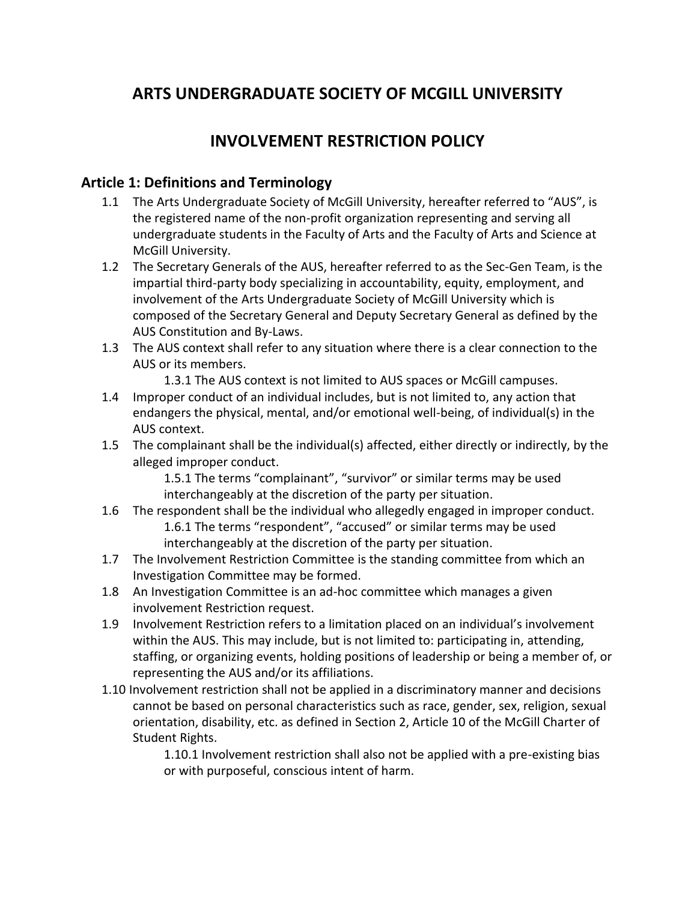# **ARTS UNDERGRADUATE SOCIETY OF MCGILL UNIVERSITY**

# **INVOLVEMENT RESTRICTION POLICY**

#### **Article 1: Definitions and Terminology**

- 1.1 The Arts Undergraduate Society of McGill University, hereafter referred to "AUS", is the registered name of the non-profit organization representing and serving all undergraduate students in the Faculty of Arts and the Faculty of Arts and Science at McGill University.
- 1.2 The Secretary Generals of the AUS, hereafter referred to as the Sec-Gen Team, is the impartial third-party body specializing in accountability, equity, employment, and involvement of the Arts Undergraduate Society of McGill University which is composed of the Secretary General and Deputy Secretary General as defined by the AUS Constitution and By-Laws.
- 1.3 The AUS context shall refer to any situation where there is a clear connection to the AUS or its members.
	- 1.3.1 The AUS context is not limited to AUS spaces or McGill campuses.
- 1.4 Improper conduct of an individual includes, but is not limited to, any action that endangers the physical, mental, and/or emotional well-being, of individual(s) in the AUS context.
- 1.5 The complainant shall be the individual(s) affected, either directly or indirectly, by the alleged improper conduct.

1.5.1 The terms "complainant", "survivor" or similar terms may be used interchangeably at the discretion of the party per situation.

- 1.6 The respondent shall be the individual who allegedly engaged in improper conduct. 1.6.1 The terms "respondent", "accused" or similar terms may be used interchangeably at the discretion of the party per situation.
- 1.7 The Involvement Restriction Committee is the standing committee from which an Investigation Committee may be formed.
- 1.8 An Investigation Committee is an ad-hoc committee which manages a given involvement Restriction request.
- 1.9 Involvement Restriction refers to a limitation placed on an individual's involvement within the AUS. This may include, but is not limited to: participating in, attending, staffing, or organizing events, holding positions of leadership or being a member of, or representing the AUS and/or its affiliations.
- 1.10 Involvement restriction shall not be applied in a discriminatory manner and decisions cannot be based on personal characteristics such as race, gender, sex, religion, sexual orientation, disability, etc. as defined in Section 2, Article 10 of the McGill Charter of Student Rights.

1.10.1 Involvement restriction shall also not be applied with a pre-existing bias or with purposeful, conscious intent of harm.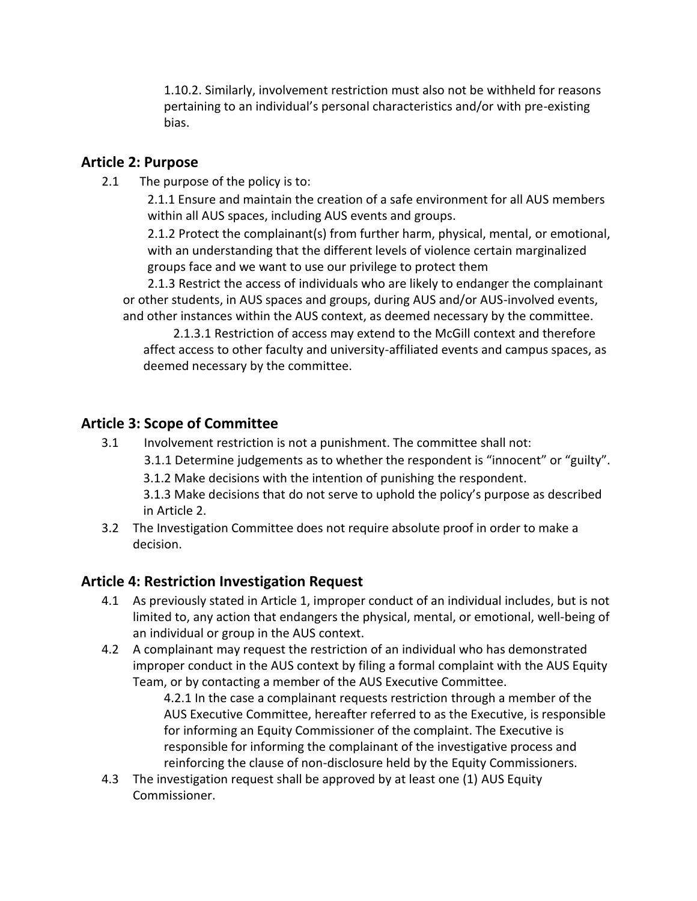1.10.2. Similarly, involvement restriction must also not be withheld for reasons pertaining to an individual's personal characteristics and/or with pre-existing bias.

## **Article 2: Purpose**

2.1 The purpose of the policy is to:

 2.1.1 Ensure and maintain the creation of a safe environment for all AUS members within all AUS spaces, including AUS events and groups.

2.1.2 Protect the complainant(s) from further harm, physical, mental, or emotional, with an understanding that the different levels of violence certain marginalized groups face and we want to use our privilege to protect them

2.1.3 Restrict the access of individuals who are likely to endanger the complainant or other students, in AUS spaces and groups, during AUS and/or AUS-involved events, and other instances within the AUS context, as deemed necessary by the committee.

 2.1.3.1 Restriction of access may extend to the McGill context and therefore affect access to other faculty and university-affiliated events and campus spaces, as deemed necessary by the committee.

# **Article 3: Scope of Committee**

- 3.1 Involvement restriction is not a punishment. The committee shall not:
	- 3.1.1 Determine judgements as to whether the respondent is "innocent" or "guilty".
	- 3.1.2 Make decisions with the intention of punishing the respondent.

3.1.3 Make decisions that do not serve to uphold the policy's purpose as described in Article 2.

3.2 The Investigation Committee does not require absolute proof in order to make a decision.

#### **Article 4: Restriction Investigation Request**

- 4.1 As previously stated in Article 1, improper conduct of an individual includes, but is not limited to, any action that endangers the physical, mental, or emotional, well-being of an individual or group in the AUS context.
- 4.2 A complainant may request the restriction of an individual who has demonstrated improper conduct in the AUS context by filing a formal complaint with the AUS Equity Team, or by contacting a member of the AUS Executive Committee.

4.2.1 In the case a complainant requests restriction through a member of the AUS Executive Committee, hereafter referred to as the Executive, is responsible for informing an Equity Commissioner of the complaint. The Executive is responsible for informing the complainant of the investigative process and reinforcing the clause of non-disclosure held by the Equity Commissioners.

4.3 The investigation request shall be approved by at least one (1) AUS Equity Commissioner.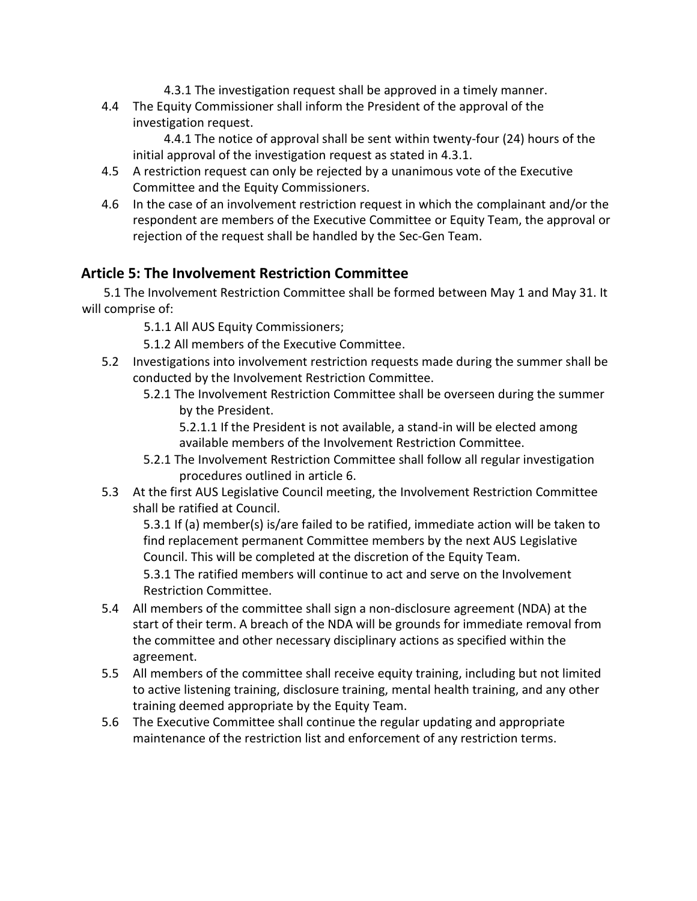- 4.3.1 The investigation request shall be approved in a timely manner.
- 4.4 The Equity Commissioner shall inform the President of the approval of the investigation request.

 4.4.1 The notice of approval shall be sent within twenty-four (24) hours of the initial approval of the investigation request as stated in 4.3.1.

- 4.5 A restriction request can only be rejected by a unanimous vote of the Executive Committee and the Equity Commissioners.
- 4.6 In the case of an involvement restriction request in which the complainant and/or the respondent are members of the Executive Committee or Equity Team, the approval or rejection of the request shall be handled by the Sec-Gen Team.

## **Article 5: The Involvement Restriction Committee**

 5.1 The Involvement Restriction Committee shall be formed between May 1 and May 31. It will comprise of:

5.1.1 All AUS Equity Commissioners;

5.1.2 All members of the Executive Committee.

- 5.2 Investigations into involvement restriction requests made during the summer shall be conducted by the Involvement Restriction Committee.
	- 5.2.1 The Involvement Restriction Committee shall be overseen during the summer by the President.

5.2.1.1 If the President is not available, a stand-in will be elected among available members of the Involvement Restriction Committee.

- 5.2.1 The Involvement Restriction Committee shall follow all regular investigation procedures outlined in article 6.
- 5.3 At the first AUS Legislative Council meeting, the Involvement Restriction Committee shall be ratified at Council.

5.3.1 If (a) member(s) is/are failed to be ratified, immediate action will be taken to find replacement permanent Committee members by the next AUS Legislative Council. This will be completed at the discretion of the Equity Team.

5.3.1 The ratified members will continue to act and serve on the Involvement Restriction Committee.

- 5.4 All members of the committee shall sign a non-disclosure agreement (NDA) at the start of their term. A breach of the NDA will be grounds for immediate removal from the committee and other necessary disciplinary actions as specified within the agreement.
- 5.5 All members of the committee shall receive equity training, including but not limited to active listening training, disclosure training, mental health training, and any other training deemed appropriate by the Equity Team.
- 5.6 The Executive Committee shall continue the regular updating and appropriate maintenance of the restriction list and enforcement of any restriction terms.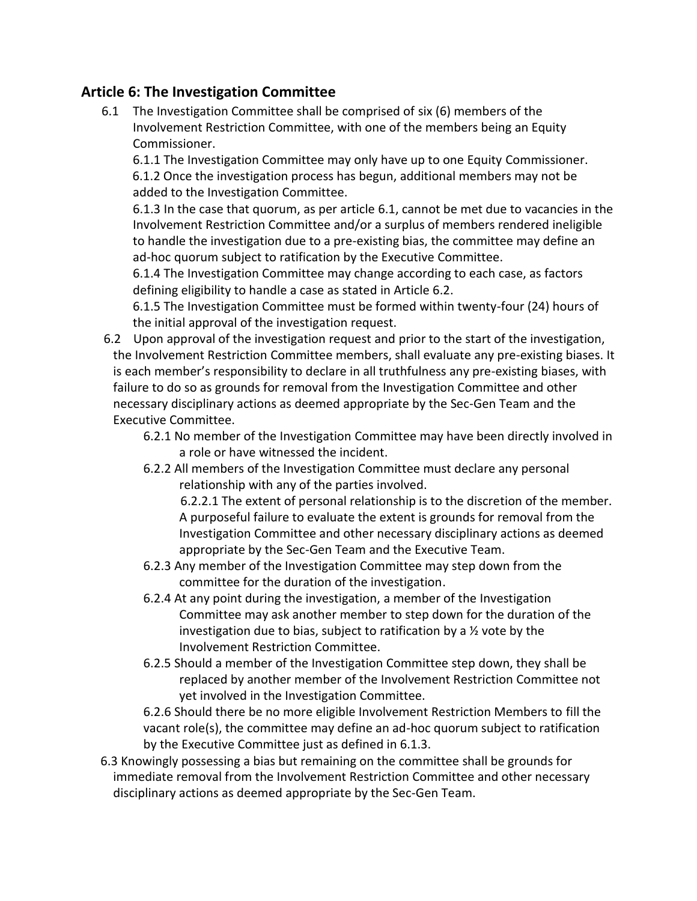# **Article 6: The Investigation Committee**

6.1 The Investigation Committee shall be comprised of six (6) members of the Involvement Restriction Committee, with one of the members being an Equity Commissioner.

6.1.1 The Investigation Committee may only have up to one Equity Commissioner. 6.1.2 Once the investigation process has begun, additional members may not be added to the Investigation Committee.

6.1.3 In the case that quorum, as per article 6.1, cannot be met due to vacancies in the Involvement Restriction Committee and/or a surplus of members rendered ineligible to handle the investigation due to a pre-existing bias, the committee may define an ad-hoc quorum subject to ratification by the Executive Committee.

6.1.4 The Investigation Committee may change according to each case, as factors defining eligibility to handle a case as stated in Article 6.2.

6.1.5 The Investigation Committee must be formed within twenty-four (24) hours of the initial approval of the investigation request.

- 6.2 Upon approval of the investigation request and prior to the start of the investigation, the Involvement Restriction Committee members, shall evaluate any pre-existing biases. It is each member's responsibility to declare in all truthfulness any pre-existing biases, with failure to do so as grounds for removal from the Investigation Committee and other necessary disciplinary actions as deemed appropriate by the Sec-Gen Team and the Executive Committee.
	- 6.2.1 No member of the Investigation Committee may have been directly involved in a role or have witnessed the incident.
	- 6.2.2 All members of the Investigation Committee must declare any personal relationship with any of the parties involved.

 6.2.2.1 The extent of personal relationship is to the discretion of the member. A purposeful failure to evaluate the extent is grounds for removal from the Investigation Committee and other necessary disciplinary actions as deemed appropriate by the Sec-Gen Team and the Executive Team.

- 6.2.3 Any member of the Investigation Committee may step down from the committee for the duration of the investigation.
- 6.2.4 At any point during the investigation, a member of the Investigation Committee may ask another member to step down for the duration of the investigation due to bias, subject to ratification by a ½ vote by the Involvement Restriction Committee.
- 6.2.5 Should a member of the Investigation Committee step down, they shall be replaced by another member of the Involvement Restriction Committee not yet involved in the Investigation Committee.

6.2.6 Should there be no more eligible Involvement Restriction Members to fill the vacant role(s), the committee may define an ad-hoc quorum subject to ratification by the Executive Committee just as defined in 6.1.3.

 6.3 Knowingly possessing a bias but remaining on the committee shall be grounds for immediate removal from the Involvement Restriction Committee and other necessary disciplinary actions as deemed appropriate by the Sec-Gen Team.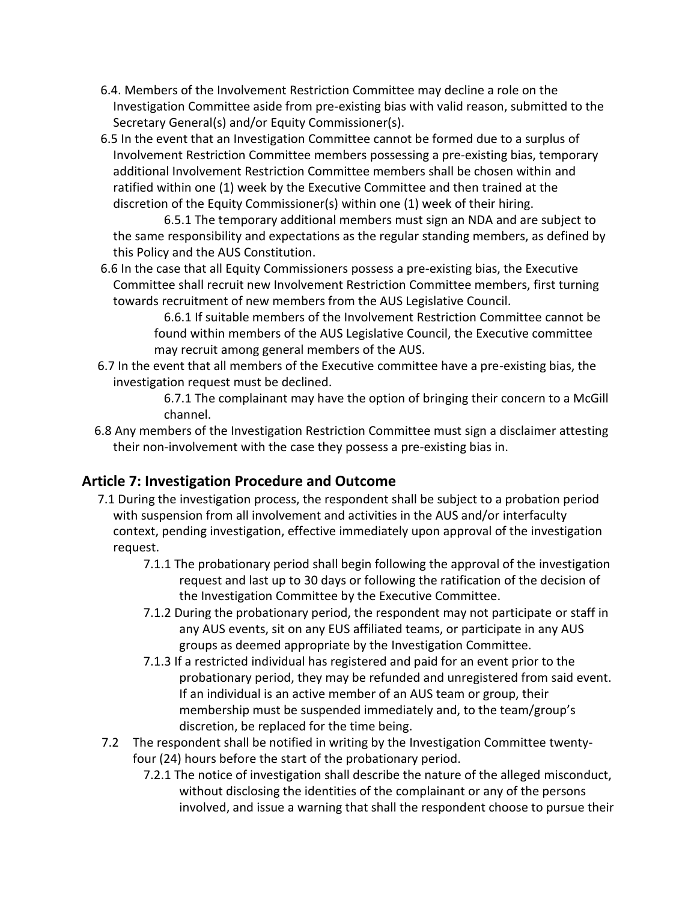- 6.4. Members of the Involvement Restriction Committee may decline a role on the Investigation Committee aside from pre-existing bias with valid reason, submitted to the Secretary General(s) and/or Equity Commissioner(s).
- 6.5 In the event that an Investigation Committee cannot be formed due to a surplus of Involvement Restriction Committee members possessing a pre-existing bias, temporary additional Involvement Restriction Committee members shall be chosen within and ratified within one (1) week by the Executive Committee and then trained at the discretion of the Equity Commissioner(s) within one (1) week of their hiring.

6.5.1 The temporary additional members must sign an NDA and are subject to the same responsibility and expectations as the regular standing members, as defined by this Policy and the AUS Constitution.

 6.6 In the case that all Equity Commissioners possess a pre-existing bias, the Executive Committee shall recruit new Involvement Restriction Committee members, first turning towards recruitment of new members from the AUS Legislative Council.

> 6.6.1 If suitable members of the Involvement Restriction Committee cannot be found within members of the AUS Legislative Council, the Executive committee may recruit among general members of the AUS.

 6.7 In the event that all members of the Executive committee have a pre-existing bias, the investigation request must be declined.

> 6.7.1 The complainant may have the option of bringing their concern to a McGill channel.

 6.8 Any members of the Investigation Restriction Committee must sign a disclaimer attesting their non-involvement with the case they possess a pre-existing bias in.

# **Article 7: Investigation Procedure and Outcome**

- 7.1 During the investigation process, the respondent shall be subject to a probation period with suspension from all involvement and activities in the AUS and/or interfaculty context, pending investigation, effective immediately upon approval of the investigation request.
	- 7.1.1 The probationary period shall begin following the approval of the investigation request and last up to 30 days or following the ratification of the decision of the Investigation Committee by the Executive Committee.
	- 7.1.2 During the probationary period, the respondent may not participate or staff in any AUS events, sit on any EUS affiliated teams, or participate in any AUS groups as deemed appropriate by the Investigation Committee.
	- 7.1.3 If a restricted individual has registered and paid for an event prior to the probationary period, they may be refunded and unregistered from said event. If an individual is an active member of an AUS team or group, their membership must be suspended immediately and, to the team/group's discretion, be replaced for the time being.
- 7.2 The respondent shall be notified in writing by the Investigation Committee twentyfour (24) hours before the start of the probationary period.
	- 7.2.1 The notice of investigation shall describe the nature of the alleged misconduct, without disclosing the identities of the complainant or any of the persons involved, and issue a warning that shall the respondent choose to pursue their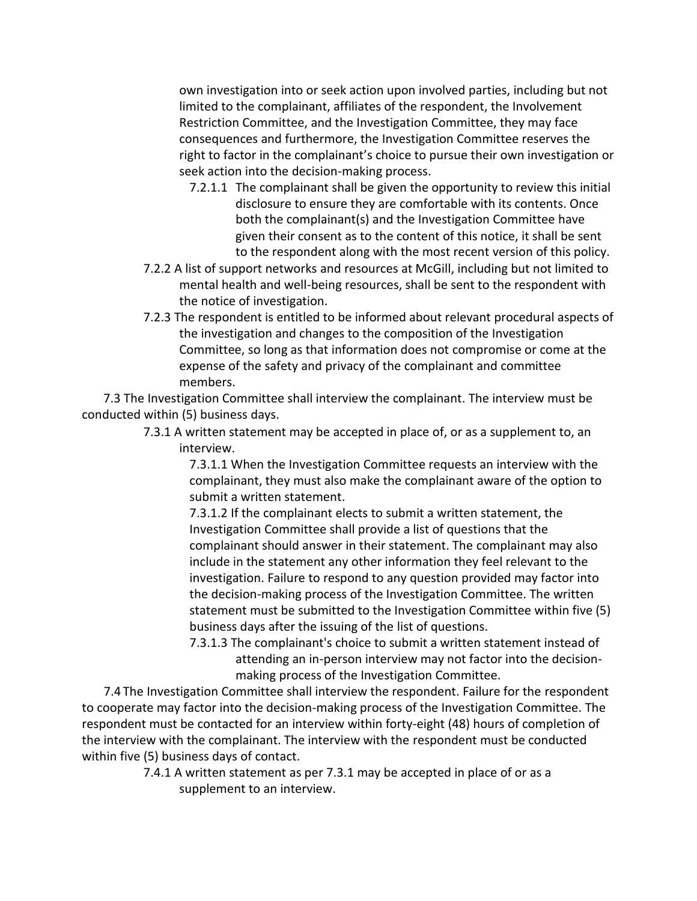own investigation into or seek action upon involved parties, including but not limited to the complainant, affiliates of the respondent, the Involvement Restriction Committee, and the Investigation Committee, they may face consequences and furthermore, the Investigation Committee reserves the right to factor in the complainant's choice to pursue their own investigation or seek action into the decision-making process.

- 7.2.1.1 The complainant shall be given the opportunity to review this initial disclosure to ensure they are comfortable with its contents. Once both the complainant(s) and the Investigation Committee have given their consent as to the content of this notice, it shall be sent to the respondent along with the most recent version of this policy.
- 7.2.2 A list of support networks and resources at McGill, including but not limited to mental health and well-being resources, shall be sent to the respondent with the notice of investigation.
- 7.2.3 The respondent is entitled to be informed about relevant procedural aspects of the investigation and changes to the composition of the Investigation Committee, so long as that information does not compromise or come at the expense of the safety and privacy of the complainant and committee members.

7.3 The Investigation Committee shall interview the complainant. The interview must be conducted within (5) business days.

> 7.3.1 A written statement may be accepted in place of, or as a supplement to, an interview.

7.3.1.1 When the Investigation Committee requests an interview with the complainant, they must also make the complainant aware of the option to submit a written statement.

7.3.1.2 If the complainant elects to submit a written statement, the Investigation Committee shall provide a list of questions that the complainant should answer in their statement. The complainant may also include in the statement any other information they feel relevant to the investigation. Failure to respond to any question provided may factor into the decision-making process of the Investigation Committee. The written statement must be submitted to the Investigation Committee within five (5) business days after the issuing of the list of questions.

7.3.1.3 The complainant's choice to submit a written statement instead of attending an in-person interview may not factor into the decisionmaking process of the Investigation Committee.

 7.4 The Investigation Committee shall interview the respondent. Failure for the respondent to cooperate may factor into the decision-making process of the Investigation Committee. The respondent must be contacted for an interview within forty-eight (48) hours of completion of the interview with the complainant. The interview with the respondent must be conducted within five (5) business days of contact.

> 7.4.1 A written statement as per 7.3.1 may be accepted in place of or as a supplement to an interview.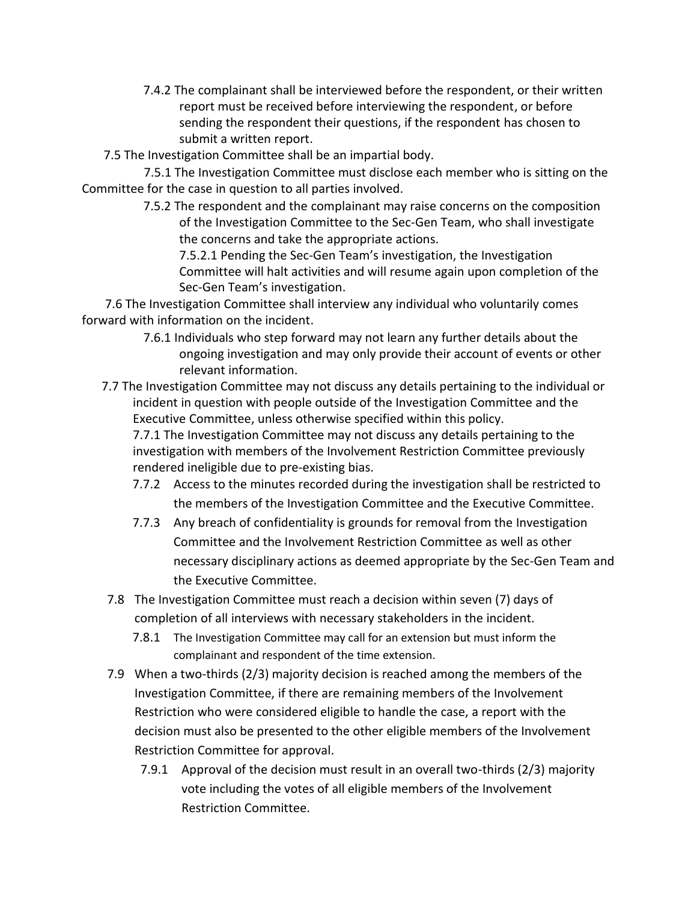- 7.4.2 The complainant shall be interviewed before the respondent, or their written report must be received before interviewing the respondent, or before sending the respondent their questions, if the respondent has chosen to submit a written report.
- 7.5 The Investigation Committee shall be an impartial body.

 7.5.1 The Investigation Committee must disclose each member who is sitting on the Committee for the case in question to all parties involved.

> 7.5.2 The respondent and the complainant may raise concerns on the composition of the Investigation Committee to the Sec-Gen Team, who shall investigate the concerns and take the appropriate actions.

7.5.2.1 Pending the Sec-Gen Team's investigation, the Investigation Committee will halt activities and will resume again upon completion of the Sec-Gen Team's investigation.

7.6 The Investigation Committee shall interview any individual who voluntarily comes forward with information on the incident.

- 7.6.1 Individuals who step forward may not learn any further details about the ongoing investigation and may only provide their account of events or other relevant information.
- 7.7 The Investigation Committee may not discuss any details pertaining to the individual or incident in question with people outside of the Investigation Committee and the Executive Committee, unless otherwise specified within this policy.

7.7.1 The Investigation Committee may not discuss any details pertaining to the investigation with members of the Involvement Restriction Committee previously rendered ineligible due to pre-existing bias.

- 7.7.2 Access to the minutes recorded during the investigation shall be restricted to the members of the Investigation Committee and the Executive Committee.
- 7.7.3 Any breach of confidentiality is grounds for removal from the Investigation Committee and the Involvement Restriction Committee as well as other necessary disciplinary actions as deemed appropriate by the Sec-Gen Team and the Executive Committee.
- 7.8 The Investigation Committee must reach a decision within seven (7) days of completion of all interviews with necessary stakeholders in the incident.
	- 7.8.1 The Investigation Committee may call for an extension but must inform the complainant and respondent of the time extension.
- 7.9 When a two-thirds (2/3) majority decision is reached among the members of the Investigation Committee, if there are remaining members of the Involvement Restriction who were considered eligible to handle the case, a report with the decision must also be presented to the other eligible members of the Involvement Restriction Committee for approval.
	- 7.9.1 Approval of the decision must result in an overall two-thirds (2/3) majority vote including the votes of all eligible members of the Involvement Restriction Committee.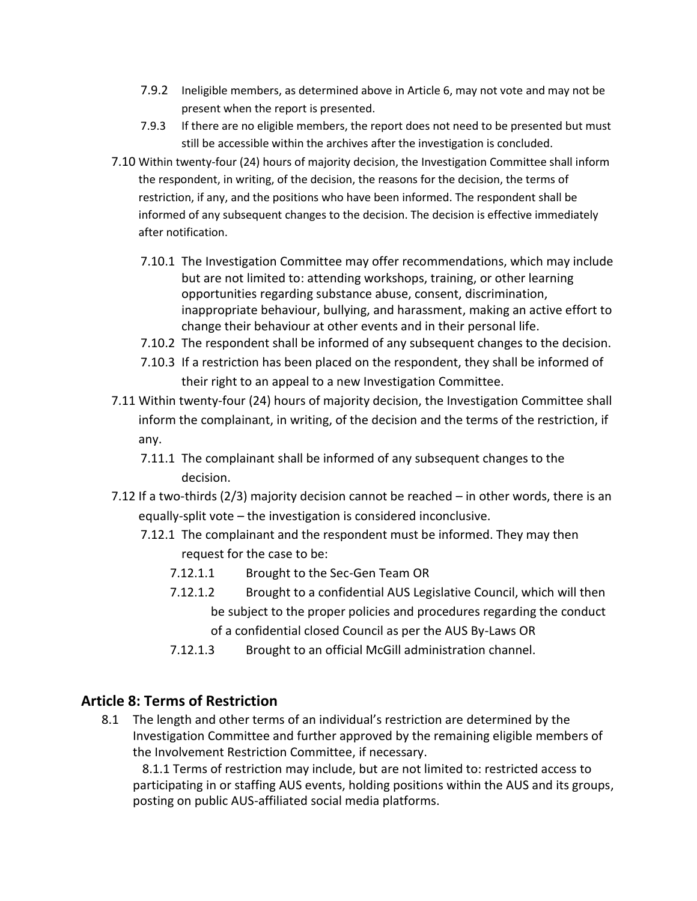- 7.9.2 Ineligible members, as determined above in Article 6, may not vote and may not be present when the report is presented.
- 7.9.3 If there are no eligible members, the report does not need to be presented but must still be accessible within the archives after the investigation is concluded.
- 7.10 Within twenty-four (24) hours of majority decision, the Investigation Committee shall inform the respondent, in writing, of the decision, the reasons for the decision, the terms of restriction, if any, and the positions who have been informed. The respondent shall be informed of any subsequent changes to the decision. The decision is effective immediately after notification.
	- 7.10.1 The Investigation Committee may offer recommendations, which may include but are not limited to: attending workshops, training, or other learning opportunities regarding substance abuse, consent, discrimination, inappropriate behaviour, bullying, and harassment, making an active effort to change their behaviour at other events and in their personal life.
	- 7.10.2 The respondent shall be informed of any subsequent changes to the decision.
	- 7.10.3 If a restriction has been placed on the respondent, they shall be informed of their right to an appeal to a new Investigation Committee.
- 7.11 Within twenty-four (24) hours of majority decision, the Investigation Committee shall inform the complainant, in writing, of the decision and the terms of the restriction, if any.
	- 7.11.1 The complainant shall be informed of any subsequent changes to the decision.
- 7.12 If a two-thirds (2/3) majority decision cannot be reached in other words, there is an equally-split vote – the investigation is considered inconclusive.
	- 7.12.1 The complainant and the respondent must be informed. They may then request for the case to be:
		- 7.12.1.1 Brought to the Sec-Gen Team OR
		- 7.12.1.2 Brought to a confidential AUS Legislative Council, which will then be subject to the proper policies and procedures regarding the conduct of a confidential closed Council as per the AUS By-Laws OR
		- 7.12.1.3 Brought to an official McGill administration channel.

#### **Article 8: Terms of Restriction**

8.1 The length and other terms of an individual's restriction are determined by the Investigation Committee and further approved by the remaining eligible members of the Involvement Restriction Committee, if necessary.

 8.1.1 Terms of restriction may include, but are not limited to: restricted access to participating in or staffing AUS events, holding positions within the AUS and its groups, posting on public AUS-affiliated social media platforms.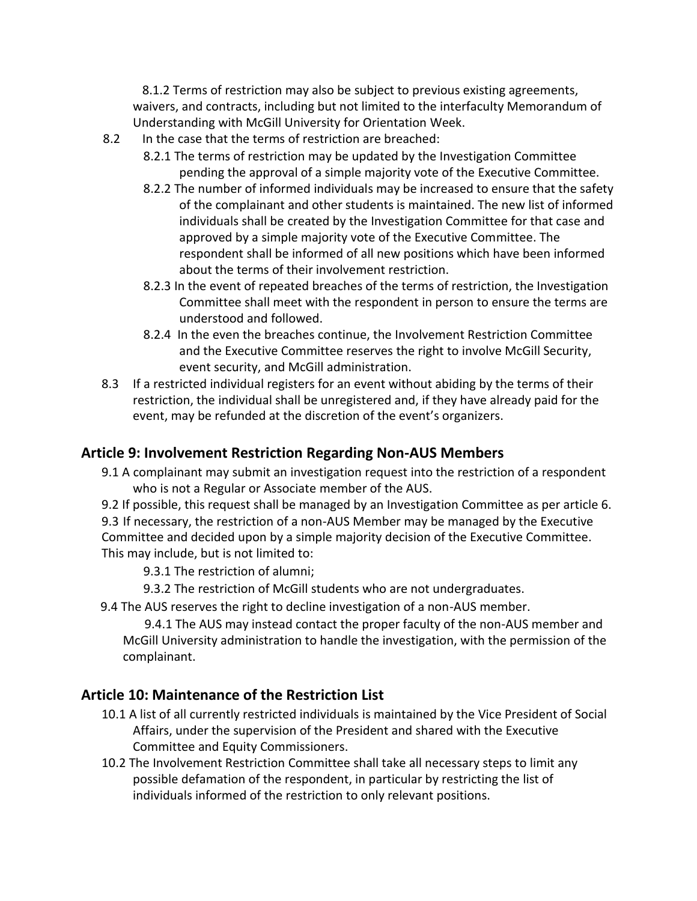8.1.2 Terms of restriction may also be subject to previous existing agreements, waivers, and contracts, including but not limited to the interfaculty Memorandum of Understanding with McGill University for Orientation Week.

- 8.2 In the case that the terms of restriction are breached:
	- 8.2.1 The terms of restriction may be updated by the Investigation Committee pending the approval of a simple majority vote of the Executive Committee.
	- 8.2.2 The number of informed individuals may be increased to ensure that the safety of the complainant and other students is maintained. The new list of informed individuals shall be created by the Investigation Committee for that case and approved by a simple majority vote of the Executive Committee. The respondent shall be informed of all new positions which have been informed about the terms of their involvement restriction.
	- 8.2.3 In the event of repeated breaches of the terms of restriction, the Investigation Committee shall meet with the respondent in person to ensure the terms are understood and followed.
	- 8.2.4 In the even the breaches continue, the Involvement Restriction Committee and the Executive Committee reserves the right to involve McGill Security, event security, and McGill administration.
- 8.3 If a restricted individual registers for an event without abiding by the terms of their restriction, the individual shall be unregistered and, if they have already paid for the event, may be refunded at the discretion of the event's organizers.

#### **Article 9: Involvement Restriction Regarding Non-AUS Members**

- 9.1 A complainant may submit an investigation request into the restriction of a respondent who is not a Regular or Associate member of the AUS.
- 9.2 If possible, this request shall be managed by an Investigation Committee as per article 6.
- 9.3 If necessary, the restriction of a non-AUS Member may be managed by the Executive Committee and decided upon by a simple majority decision of the Executive Committee. This may include, but is not limited to:

9.3.1 The restriction of alumni;

- 9.3.2 The restriction of McGill students who are not undergraduates.
- 9.4 The AUS reserves the right to decline investigation of a non-AUS member.

 9.4.1 The AUS may instead contact the proper faculty of the non-AUS member and McGill University administration to handle the investigation, with the permission of the complainant.

# **Article 10: Maintenance of the Restriction List**

- 10.1 A list of all currently restricted individuals is maintained by the Vice President of Social Affairs, under the supervision of the President and shared with the Executive Committee and Equity Commissioners.
- 10.2 The Involvement Restriction Committee shall take all necessary steps to limit any possible defamation of the respondent, in particular by restricting the list of individuals informed of the restriction to only relevant positions.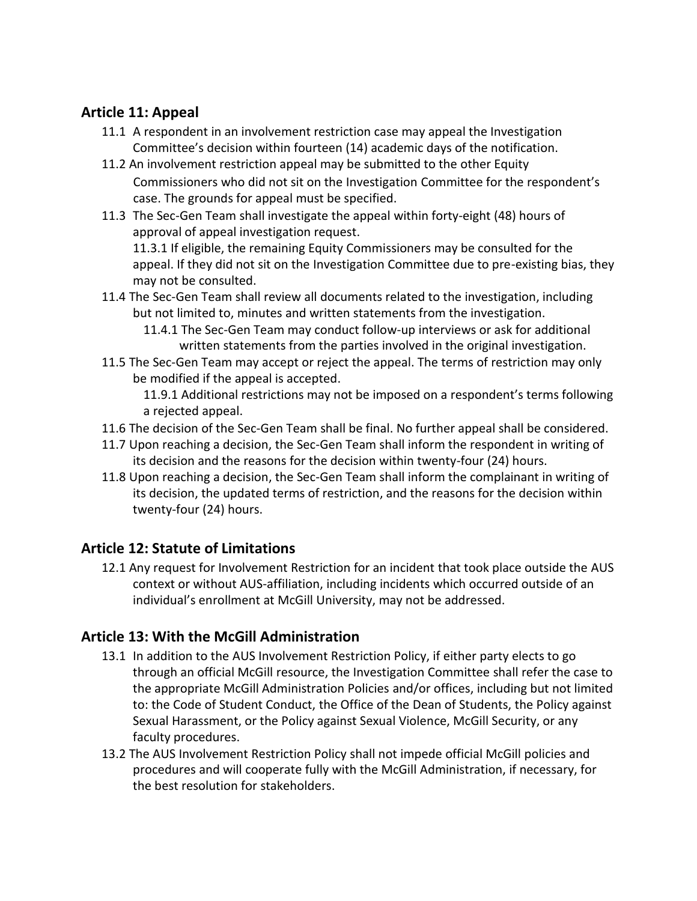# **Article 11: Appeal**

- 11.1 A respondent in an involvement restriction case may appeal the Investigation Committee's decision within fourteen (14) academic days of the notification.
- 11.2 An involvement restriction appeal may be submitted to the other Equity Commissioners who did not sit on the Investigation Committee for the respondent's case. The grounds for appeal must be specified.
- 11.3 The Sec-Gen Team shall investigate the appeal within forty-eight (48) hours of approval of appeal investigation request. 11.3.1 If eligible, the remaining Equity Commissioners may be consulted for the

appeal. If they did not sit on the Investigation Committee due to pre-existing bias, they may not be consulted.

- 11.4 The Sec-Gen Team shall review all documents related to the investigation, including but not limited to, minutes and written statements from the investigation.
	- 11.4.1 The Sec-Gen Team may conduct follow-up interviews or ask for additional written statements from the parties involved in the original investigation.
- 11.5 The Sec-Gen Team may accept or reject the appeal. The terms of restriction may only be modified if the appeal is accepted.

11.9.1 Additional restrictions may not be imposed on a respondent's terms following a rejected appeal.

- 11.6 The decision of the Sec-Gen Team shall be final. No further appeal shall be considered.
- 11.7 Upon reaching a decision, the Sec-Gen Team shall inform the respondent in writing of its decision and the reasons for the decision within twenty-four (24) hours.
- 11.8 Upon reaching a decision, the Sec-Gen Team shall inform the complainant in writing of its decision, the updated terms of restriction, and the reasons for the decision within twenty-four (24) hours.

# **Article 12: Statute of Limitations**

12.1 Any request for Involvement Restriction for an incident that took place outside the AUS context or without AUS-affiliation, including incidents which occurred outside of an individual's enrollment at McGill University, may not be addressed.

# **Article 13: With the McGill Administration**

- 13.1 In addition to the AUS Involvement Restriction Policy, if either party elects to go through an official McGill resource, the Investigation Committee shall refer the case to the appropriate McGill Administration Policies and/or offices, including but not limited to: the Code of Student Conduct, the Office of the Dean of Students, the Policy against Sexual Harassment, or the Policy against Sexual Violence, McGill Security, or any faculty procedures.
- 13.2 The AUS Involvement Restriction Policy shall not impede official McGill policies and procedures and will cooperate fully with the McGill Administration, if necessary, for the best resolution for stakeholders.